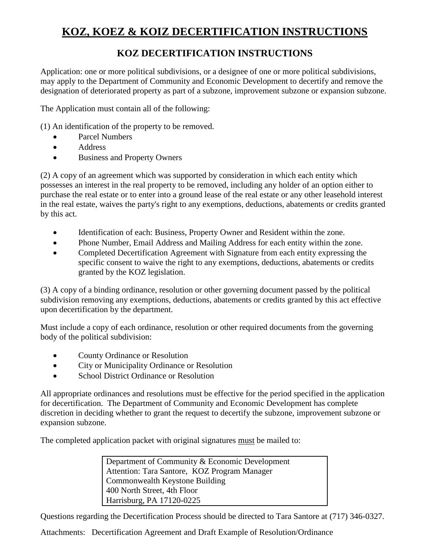# **KOZ, KOEZ & KOIZ DECERTIFICATION INSTRUCTIONS**

## **KOZ DECERTIFICATION INSTRUCTIONS**

Application: one or more political subdivisions, or a designee of one or more political subdivisions, may apply to the Department of Community and Economic Development to decertify and remove the designation of deteriorated property as part of a subzone, improvement subzone or expansion subzone.

The Application must contain all of the following:

(1) An identification of the property to be removed.

- Parcel Numbers
- Address
- Business and Property Owners

(2) A copy of an agreement which was supported by consideration in which each entity which possesses an interest in the real property to be removed, including any holder of an option either to purchase the real estate or to enter into a ground lease of the real estate or any other leasehold interest in the real estate, waives the party's right to any exemptions, deductions, abatements or credits granted by this act.

- Identification of each: Business, Property Owner and Resident within the zone.
- Phone Number, Email Address and Mailing Address for each entity within the zone.
- Completed Decertification Agreement with Signature from each entity expressing the specific consent to waive the right to any exemptions, deductions, abatements or credits granted by the KOZ legislation.

(3) A copy of a binding ordinance, resolution or other governing document passed by the political subdivision removing any exemptions, deductions, abatements or credits granted by this act effective upon decertification by the department.

Must include a copy of each ordinance, resolution or other required documents from the governing body of the political subdivision:

- County Ordinance or Resolution
- City or Municipality Ordinance or Resolution
- School District Ordinance or Resolution

All appropriate ordinances and resolutions must be effective for the period specified in the application for decertification. The Department of Community and Economic Development has complete discretion in deciding whether to grant the request to decertify the subzone, improvement subzone or expansion subzone.

The completed application packet with original signatures must be mailed to:

Department of Community & Economic Development Attention: Tara Santore, KOZ Program Manager Commonwealth Keystone Building 400 North Street, 4th Floor Harrisburg, PA 17120-0225

Questions regarding the Decertification Process should be directed to Tara Santore at (717) 346-0327.

Attachments: Decertification Agreement and Draft Example of Resolution/Ordinance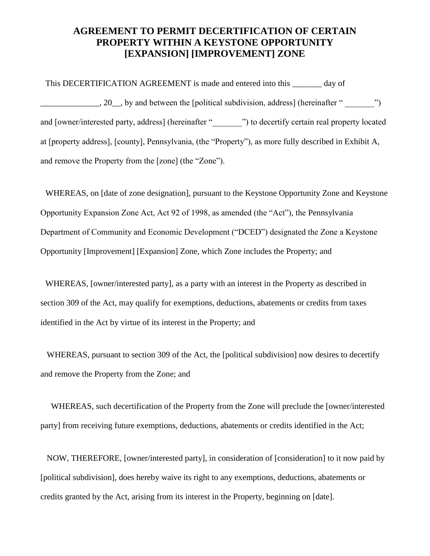### **AGREEMENT TO PERMIT DECERTIFICATION OF CERTAIN PROPERTY WITHIN A KEYSTONE OPPORTUNITY [EXPANSION] [IMPROVEMENT] ZONE**

This DECERTIFICATION AGREEMENT is made and entered into this \_\_\_\_\_\_\_ day of  $[20]$ , by and between the [political subdivision, address] (hereinafter "  $[20]$ and [owner/interested party, address] (hereinafter "<br>
") to decertify certain real property located at [property address], [county], Pennsylvania, (the "Property"), as more fully described in Exhibit A, and remove the Property from the [zone] (the "Zone").

WHEREAS, on [date of zone designation], pursuant to the Keystone Opportunity Zone and Keystone Opportunity Expansion Zone Act, Act 92 of 1998, as amended (the "Act"), the Pennsylvania Department of Community and Economic Development ("DCED") designated the Zone a Keystone Opportunity [Improvement] [Expansion] Zone, which Zone includes the Property; and

WHEREAS, [owner/interested party], as a party with an interest in the Property as described in section 309 of the Act, may qualify for exemptions, deductions, abatements or credits from taxes identified in the Act by virtue of its interest in the Property; and

WHEREAS, pursuant to section 309 of the Act, the [political subdivision] now desires to decertify and remove the Property from the Zone; and

 WHEREAS, such decertification of the Property from the Zone will preclude the [owner/interested party] from receiving future exemptions, deductions, abatements or credits identified in the Act;

NOW, THEREFORE, [owner/interested party], in consideration of [consideration] to it now paid by [political subdivision], does hereby waive its right to any exemptions, deductions, abatements or credits granted by the Act, arising from its interest in the Property, beginning on [date].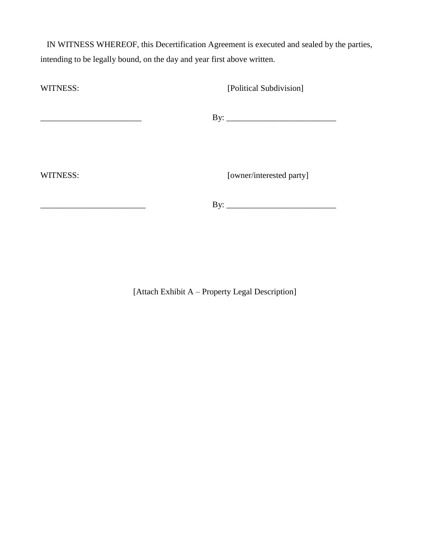IN WITNESS WHEREOF, this Decertification Agreement is executed and sealed by the parties, intending to be legally bound, on the day and year first above written.

WITNESS: [Political Subdivision] \_\_\_\_\_\_\_\_\_\_\_\_\_\_\_\_\_\_\_\_\_\_\_\_ By: \_\_\_\_\_\_\_\_\_\_\_\_\_\_\_\_\_\_\_\_\_\_\_\_\_\_ WITNESS: [owner/interested party]

[Attach Exhibit A – Property Legal Description]

 $\rm\,By:\,$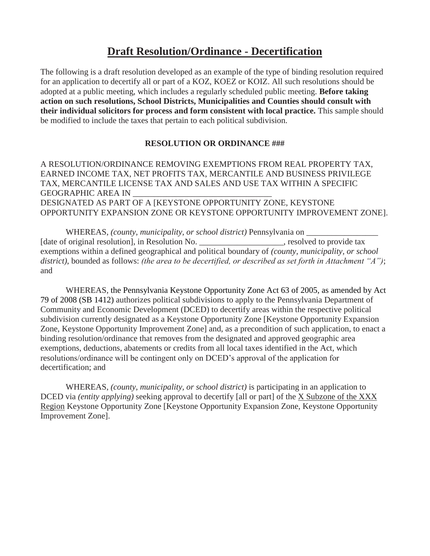### **Draft Resolution/Ordinance - Decertification**

The following is a draft resolution developed as an example of the type of binding resolution required for an application to decertify all or part of a KOZ, KOEZ or KOIZ. All such resolutions should be adopted at a public meeting, which includes a regularly scheduled public meeting. **Before taking action on such resolutions, School Districts, Municipalities and Counties should consult with their individual solicitors for process and form consistent with local practice.** This sample should be modified to include the taxes that pertain to each political subdivision.

#### **RESOLUTION OR ORDINANCE ###**

A RESOLUTION/ORDINANCE REMOVING EXEMPTIONS FROM REAL PROPERTY TAX, EARNED INCOME TAX, NET PROFITS TAX, MERCANTILE AND BUSINESS PRIVILEGE TAX, MERCANTILE LICENSE TAX AND SALES AND USE TAX WITHIN A SPECIFIC GEOGRAPHIC AREA IN DESIGNATED AS PART OF A [KEYSTONE OPPORTUNITY ZONE, KEYSTONE OPPORTUNITY EXPANSION ZONE OR KEYSTONE OPPORTUNITY IMPROVEMENT ZONE].

WHEREAS, *(county, municipality, or school district)* Pennsylvania on [date of original resolution], in Resolution No. \_\_\_\_\_\_\_\_\_\_\_\_\_\_\_\_\_\_\_\_, resolved to provide tax exemptions within a defined geographical and political boundary of *(county, municipality, or school district)*, bounded as follows: *(the area to be decertified, or described as set forth in Attachment "A")*; and

WHEREAS, the Pennsylvania Keystone Opportunity Zone Act 63 of 2005, as amended by Act 79 of 2008 (SB 1412) authorizes political subdivisions to apply to the Pennsylvania Department of Community and Economic Development (DCED) to decertify areas within the respective political subdivision currently designated as a Keystone Opportunity Zone [Keystone Opportunity Expansion Zone, Keystone Opportunity Improvement Zone] and, as a precondition of such application, to enact a binding resolution/ordinance that removes from the designated and approved geographic area exemptions, deductions, abatements or credits from all local taxes identified in the Act, which resolutions/ordinance will be contingent only on DCED's approval of the application for decertification; and

WHEREAS, *(county, municipality, or school district)* is participating in an application to DCED via *(entity applying)* seeking approval to decertify [all or part] of the X Subzone of the XXX Region Keystone Opportunity Zone [Keystone Opportunity Expansion Zone, Keystone Opportunity Improvement Zone].